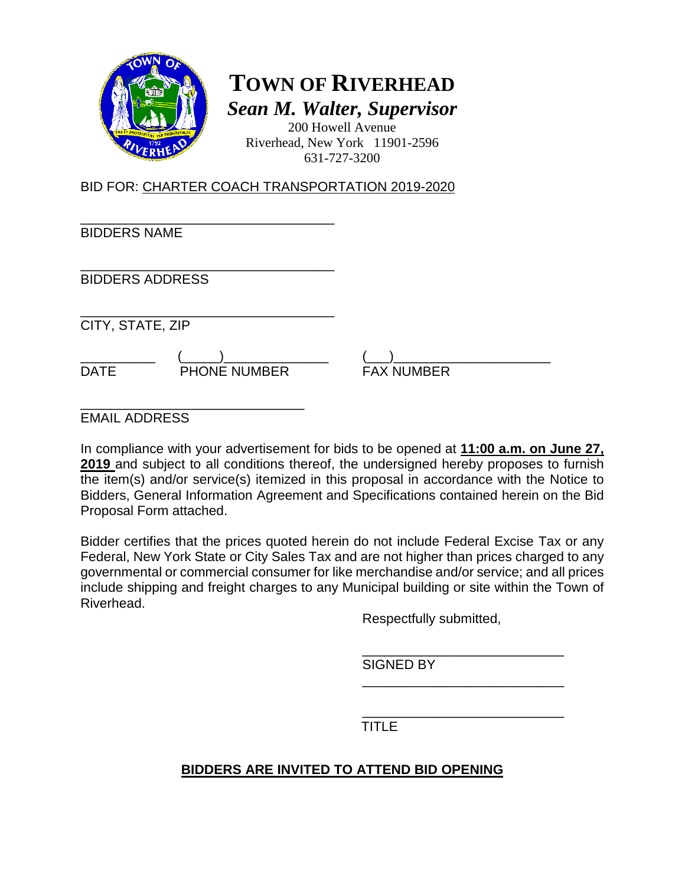

# **TOWN OF RIVERHEAD** *Sean M. Walter, Supervisor*

200 Howell Avenue Riverhead, New York 11901-2596 631-727-3200

BID FOR: CHARTER COACH TRANSPORTATION 2019-2020

\_\_\_\_\_\_\_\_\_\_\_\_\_\_\_\_\_\_\_\_\_\_\_\_\_\_\_\_\_\_\_\_\_\_ BIDDERS NAME

\_\_\_\_\_\_\_\_\_\_\_\_\_\_\_\_\_\_\_\_\_\_\_\_\_\_\_\_\_\_\_\_\_\_ BIDDERS ADDRESS

\_\_\_\_\_\_\_\_\_\_\_\_\_\_\_\_\_\_\_\_\_\_\_\_\_\_\_\_\_\_\_\_\_\_ CITY, STATE, ZIP

DATE PHONE NUMBER FAX NUMBER

\_\_\_\_\_\_\_\_\_\_ (\_\_\_\_\_)\_\_\_\_\_\_\_\_\_\_\_\_\_\_ (\_\_\_)\_\_\_\_\_\_\_\_\_\_\_\_\_\_\_\_\_\_\_\_\_

\_\_\_\_\_\_\_\_\_\_\_\_\_\_\_\_\_\_\_\_\_\_\_\_\_\_\_\_\_\_ EMAIL ADDRESS

In compliance with your advertisement for bids to be opened at **11:00 a.m. on June 27, 2019** and subject to all conditions thereof, the undersigned hereby proposes to furnish the item(s) and/or service(s) itemized in this proposal in accordance with the Notice to Bidders, General Information Agreement and Specifications contained herein on the Bid Proposal Form attached.

Bidder certifies that the prices quoted herein do not include Federal Excise Tax or any Federal, New York State or City Sales Tax and are not higher than prices charged to any governmental or commercial consumer for like merchandise and/or service; and all prices include shipping and freight charges to any Municipal building or site within the Town of Riverhead.

Respectfully submitted,

\_\_\_\_\_\_\_\_\_\_\_\_\_\_\_\_\_\_\_\_\_\_\_\_\_\_\_

\_\_\_\_\_\_\_\_\_\_\_\_\_\_\_\_\_\_\_\_\_\_\_\_\_\_\_ SIGNED BY

\_\_\_\_\_\_\_\_\_\_\_\_\_\_\_\_\_\_\_\_\_\_\_\_\_\_\_ TITLE

## **BIDDERS ARE INVITED TO ATTEND BID OPENING**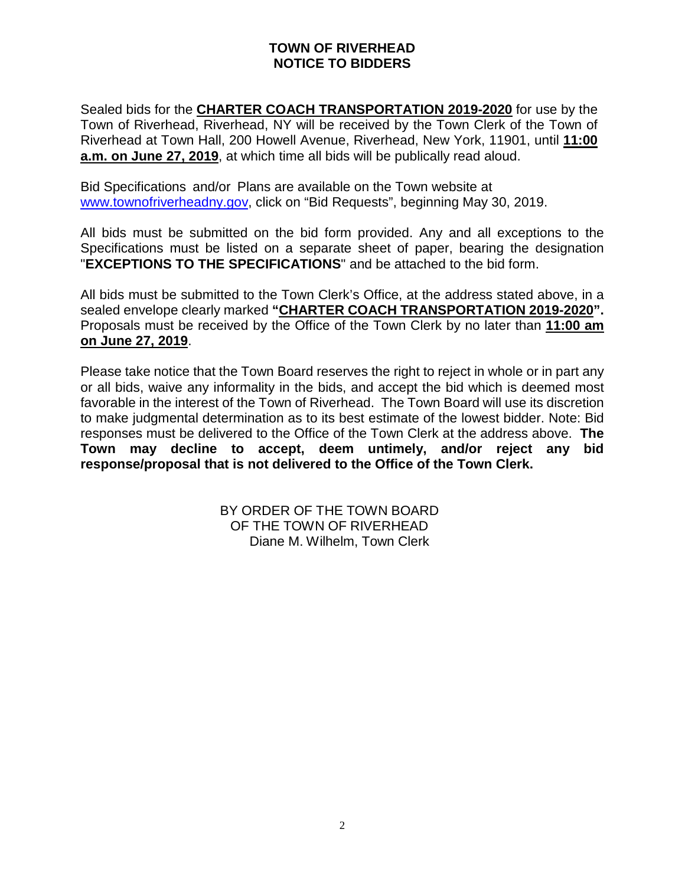#### **TOWN OF RIVERHEAD NOTICE TO BIDDERS**

Sealed bids for the **CHARTER COACH TRANSPORTATION 2019-2020** for use by the Town of Riverhead, Riverhead, NY will be received by the Town Clerk of the Town of Riverhead at Town Hall, 200 Howell Avenue, Riverhead, New York, 11901, until **11:00 a.m. on June 27, 2019**, at which time all bids will be publically read aloud.

Bid Specifications and/or Plans are available on the Town website at [www.townofriverheadny.gov,](http://www.townofriverheadny.gov/) click on "Bid Requests", beginning May 30, 2019.

All bids must be submitted on the bid form provided. Any and all exceptions to the Specifications must be listed on a separate sheet of paper, bearing the designation "**EXCEPTIONS TO THE SPECIFICATIONS**" and be attached to the bid form.

All bids must be submitted to the Town Clerk's Office, at the address stated above, in a sealed envelope clearly marked **"CHARTER COACH TRANSPORTATION 2019-2020".**  Proposals must be received by the Office of the Town Clerk by no later than **11:00 am on June 27, 2019**.

Please take notice that the Town Board reserves the right to reject in whole or in part any or all bids, waive any informality in the bids, and accept the bid which is deemed most favorable in the interest of the Town of Riverhead. The Town Board will use its discretion to make judgmental determination as to its best estimate of the lowest bidder. Note: Bid responses must be delivered to the Office of the Town Clerk at the address above. **The Town may decline to accept, deem untimely, and/or reject any bid response/proposal that is not delivered to the Office of the Town Clerk.**

> BY ORDER OF THE TOWN BOARD OF THE TOWN OF RIVERHEAD Diane M. Wilhelm, Town Clerk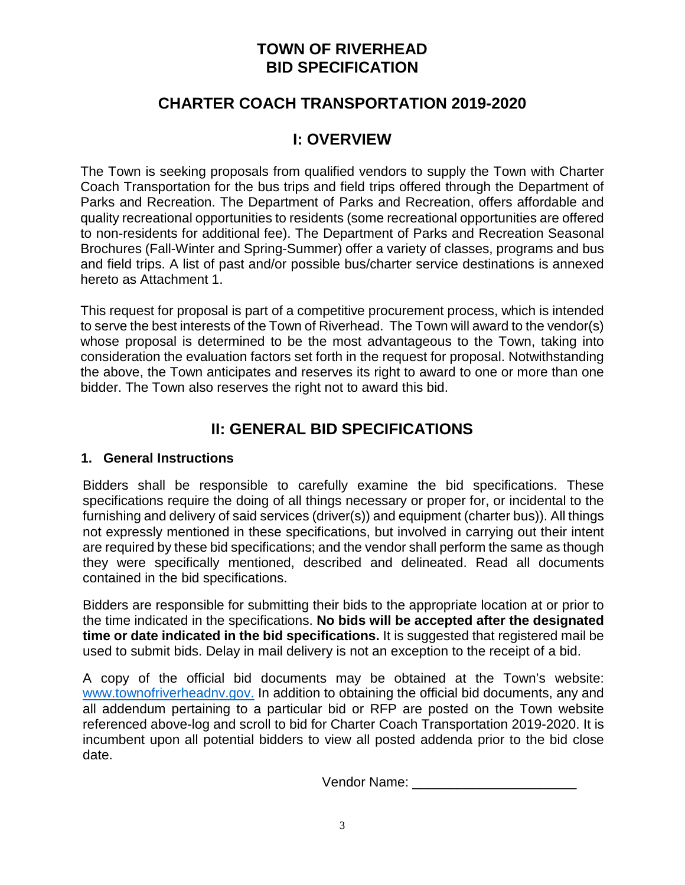## **TOWN OF RIVERHEAD BID SPECIFICATION**

## **CHARTER COACH TRANSPORTATION 2019-2020**

## **I: OVERVIEW**

The Town is seeking proposals from qualified vendors to supply the Town with Charter Coach Transportation for the bus trips and field trips offered through the Department of Parks and Recreation. The Department of Parks and Recreation, offers affordable and quality recreational opportunities to residents (some recreational opportunities are offered to non-residents for additional fee). The Department of Parks and Recreation Seasonal Brochures (Fall-Winter and Spring-Summer) offer a variety of classes, programs and bus and field trips. A list of past and/or possible bus/charter service destinations is annexed hereto as Attachment 1.

This request for proposal is part of a competitive procurement process, which is intended to serve the best interests of the Town of Riverhead. The Town will award to the vendor(s) whose proposal is determined to be the most advantageous to the Town, taking into consideration the evaluation factors set forth in the request for proposal. Notwithstanding the above, the Town anticipates and reserves its right to award to one or more than one bidder. The Town also reserves the right not to award this bid.

## **II: GENERAL BID SPECIFICATIONS**

#### **1. General Instructions**

Bidders shall be responsible to carefully examine the bid specifications. These specifications require the doing of all things necessary or proper for, or incidental to the furnishing and delivery of said services (driver(s)) and equipment (charter bus)). All things not expressly mentioned in these specifications, but involved in carrying out their intent are required by these bid specifications; and the vendor shall perform the same as though they were specifically mentioned, described and delineated. Read all documents contained in the bid specifications.

Bidders are responsible for submitting their bids to the appropriate location at or prior to the time indicated in the specifications. **No bids will be accepted after the designated time or date indicated in the bid specifications.** It is suggested that registered mail be used to submit bids. Delay in mail delivery is not an exception to the receipt of a bid.

A copy of the official bid documents may be obtained at the Town's website: www.townofriverheadny.gov. In addition to obtaining the official bid documents, any and all addendum pertaining to a particular bid or RFP are posted on the Town website referenced above-log and scroll to bid for Charter Coach Transportation 2019-2020. It is incumbent upon all potential bidders to view all posted addenda prior to the bid close date.

Vendor Name: \_\_\_\_\_\_\_\_\_\_\_\_\_\_\_\_\_\_\_\_\_\_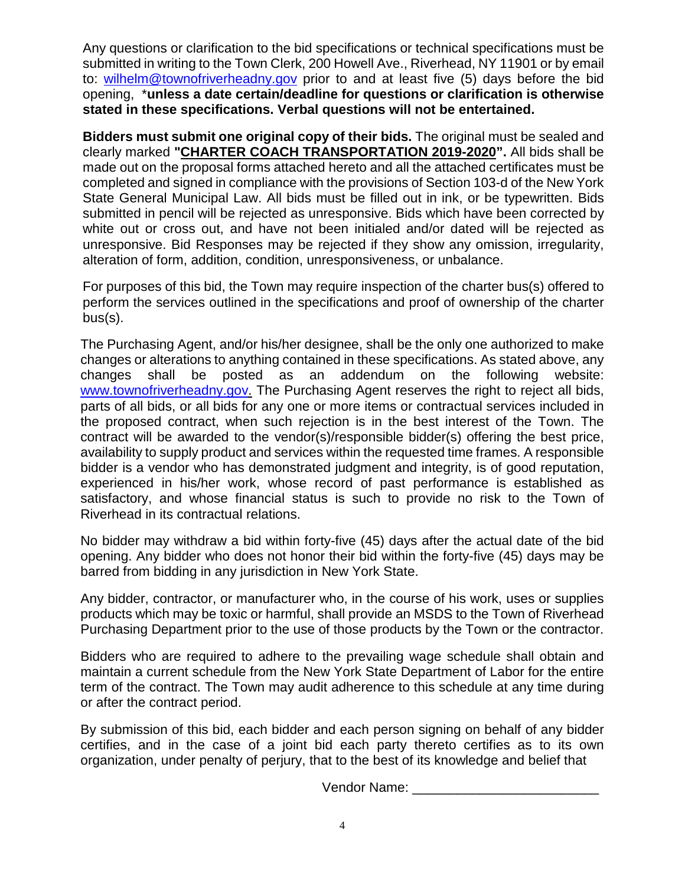Any questions or clarification to the bid specifications or technical specifications must be submitted in writing to the Town Clerk, 200 Howell Ave., Riverhead, NY 11901 or by email to: [wilhelm@townofriverheadny.gov](mailto:wilhelm@townofriverheadny.gov) prior to and at least five (5) days before the bid opening, \***unless a date certain/deadline for questions or clarification is otherwise stated in these specifications. Verbal questions will not be entertained.** 

**Bidders must submit one original copy of their bids.** The original must be sealed and clearly marked **"CHARTER COACH TRANSPORTATION 2019-2020".** All bids shall be made out on the proposal forms attached hereto and all the attached certificates must be completed and signed in compliance with the provisions of Section 103-d of the New York State General Municipal Law. All bids must be filled out in ink, or be typewritten. Bids submitted in pencil will be rejected as unresponsive. Bids which have been corrected by white out or cross out, and have not been initialed and/or dated will be rejected as unresponsive. Bid Responses may be rejected if they show any omission, irregularity, alteration of form, addition, condition, unresponsiveness, or unbalance.

For purposes of this bid, the Town may require inspection of the charter bus(s) offered to perform the services outlined in the specifications and proof of ownership of the charter bus(s).

The Purchasing Agent, and/or his/her designee, shall be the only one authorized to make changes or alterations to anything contained in these specifications. As stated above, any changes shall be posted as an addendum on the following website: [www.townofriverheadny.gov.](http://www.townofriverheadny.gov/) The Purchasing Agent reserves the right to reject all bids, parts of all bids, or all bids for any one or more items or contractual services included in the proposed contract, when such rejection is in the best interest of the Town. The contract will be awarded to the vendor(s)/responsible bidder(s) offering the best price, availability to supply product and services within the requested time frames. A responsible bidder is a vendor who has demonstrated judgment and integrity, is of good reputation, experienced in his/her work, whose record of past performance is established as satisfactory, and whose financial status is such to provide no risk to the Town of Riverhead in its contractual relations.

No bidder may withdraw a bid within forty-five (45) days after the actual date of the bid opening. Any bidder who does not honor their bid within the forty-five (45) days may be barred from bidding in any jurisdiction in New York State.

Any bidder, contractor, or manufacturer who, in the course of his work, uses or supplies products which may be toxic or harmful, shall provide an MSDS to the Town of Riverhead Purchasing Department prior to the use of those products by the Town or the contractor.

Bidders who are required to adhere to the prevailing wage schedule shall obtain and maintain a current schedule from the New York State Department of Labor for the entire term of the contract. The Town may audit adherence to this schedule at any time during or after the contract period.

By submission of this bid, each bidder and each person signing on behalf of any bidder certifies, and in the case of a joint bid each party thereto certifies as to its own organization, under penalty of perjury, that to the best of its knowledge and belief that

Vendor Name: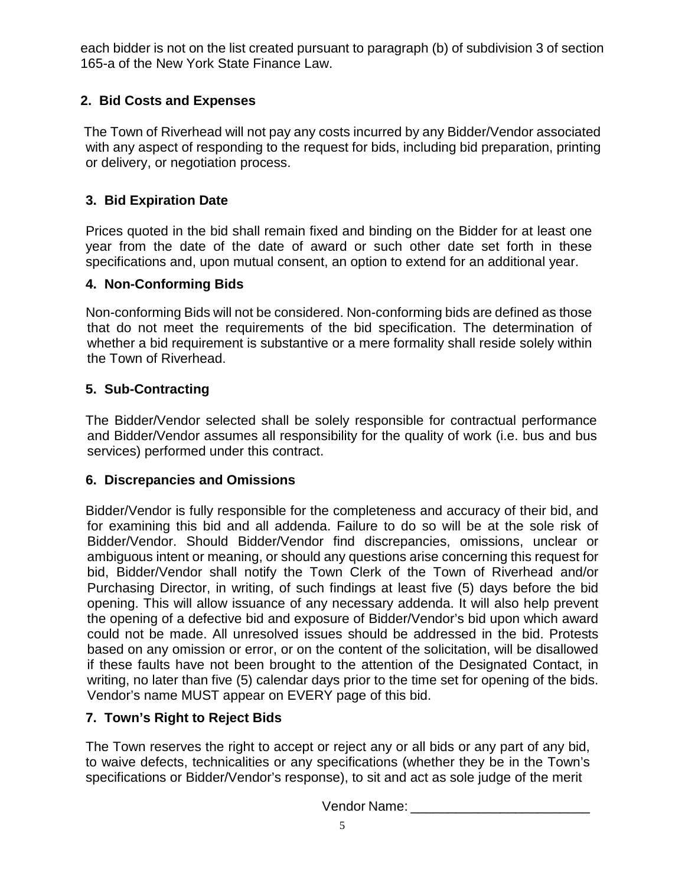each bidder is not on the list created pursuant to paragraph (b) of subdivision 3 of section 165-a of the New York State Finance Law.

## **2. Bid Costs and Expenses**

 The Town of Riverhead will not pay any costs incurred by any Bidder/Vendor associated with any aspect of responding to the request for bids, including bid preparation, printing or delivery, or negotiation process.

## **3. Bid Expiration Date**

Prices quoted in the bid shall remain fixed and binding on the Bidder for at least one year from the date of the date of award or such other date set forth in these specifications and, upon mutual consent, an option to extend for an additional year.

## **4. Non-Conforming Bids**

Non-conforming Bids will not be considered. Non-conforming bids are defined as those that do not meet the requirements of the bid specification. The determination of whether a bid requirement is substantive or a mere formality shall reside solely within the Town of Riverhead.

## **5. Sub-Contracting**

The Bidder/Vendor selected shall be solely responsible for contractual performance and Bidder/Vendor assumes all responsibility for the quality of work (i.e. bus and bus services) performed under this contract.

### **6. Discrepancies and Omissions**

Bidder/Vendor is fully responsible for the completeness and accuracy of their bid, and for examining this bid and all addenda. Failure to do so will be at the sole risk of Bidder/Vendor. Should Bidder/Vendor find discrepancies, omissions, unclear or ambiguous intent or meaning, or should any questions arise concerning this request for bid, Bidder/Vendor shall notify the Town Clerk of the Town of Riverhead and/or Purchasing Director, in writing, of such findings at least five (5) days before the bid opening. This will allow issuance of any necessary addenda. It will also help prevent the opening of a defective bid and exposure of Bidder/Vendor's bid upon which award could not be made. All unresolved issues should be addressed in the bid. Protests based on any omission or error, or on the content of the solicitation, will be disallowed if these faults have not been brought to the attention of the Designated Contact, in writing, no later than five (5) calendar days prior to the time set for opening of the bids. Vendor's name MUST appear on EVERY page of this bid.

## **7. Town's Right to Reject Bids**

The Town reserves the right to accept or reject any or all bids or any part of any bid, to waive defects, technicalities or any specifications (whether they be in the Town's specifications or Bidder/Vendor's response), to sit and act as sole judge of the merit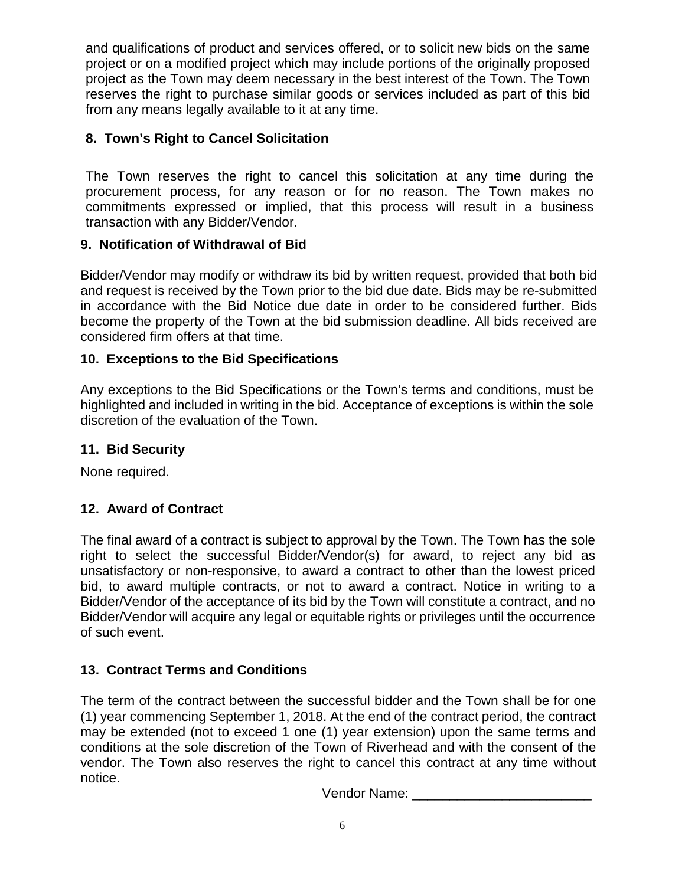and qualifications of product and services offered, or to solicit new bids on the same project or on a modified project which may include portions of the originally proposed project as the Town may deem necessary in the best interest of the Town. The Town reserves the right to purchase similar goods or services included as part of this bid from any means legally available to it at any time.

### **8. Town's Right to Cancel Solicitation**

The Town reserves the right to cancel this solicitation at any time during the procurement process, for any reason or for no reason. The Town makes no commitments expressed or implied, that this process will result in a business transaction with any Bidder/Vendor.

### **9. Notification of Withdrawal of Bid**

Bidder/Vendor may modify or withdraw its bid by written request, provided that both bid and request is received by the Town prior to the bid due date. Bids may be re-submitted in accordance with the Bid Notice due date in order to be considered further. Bids become the property of the Town at the bid submission deadline. All bids received are considered firm offers at that time.

### **10. Exceptions to the Bid Specifications**

Any exceptions to the Bid Specifications or the Town's terms and conditions, must be highlighted and included in writing in the bid. Acceptance of exceptions is within the sole discretion of the evaluation of the Town.

### **11. Bid Security**

None required.

## **12. Award of Contract**

The final award of a contract is subject to approval by the Town. The Town has the sole right to select the successful Bidder/Vendor(s) for award, to reject any bid as unsatisfactory or non-responsive, to award a contract to other than the lowest priced bid, to award multiple contracts, or not to award a contract. Notice in writing to a Bidder/Vendor of the acceptance of its bid by the Town will constitute a contract, and no Bidder/Vendor will acquire any legal or equitable rights or privileges until the occurrence of such event.

## **13. Contract Terms and Conditions**

The term of the contract between the successful bidder and the Town shall be for one (1) year commencing September 1, 2018. At the end of the contract period, the contract may be extended (not to exceed 1 one (1) year extension) upon the same terms and conditions at the sole discretion of the Town of Riverhead and with the consent of the vendor. The Town also reserves the right to cancel this contract at any time without notice.

Vendor Name: **Wendor** Name: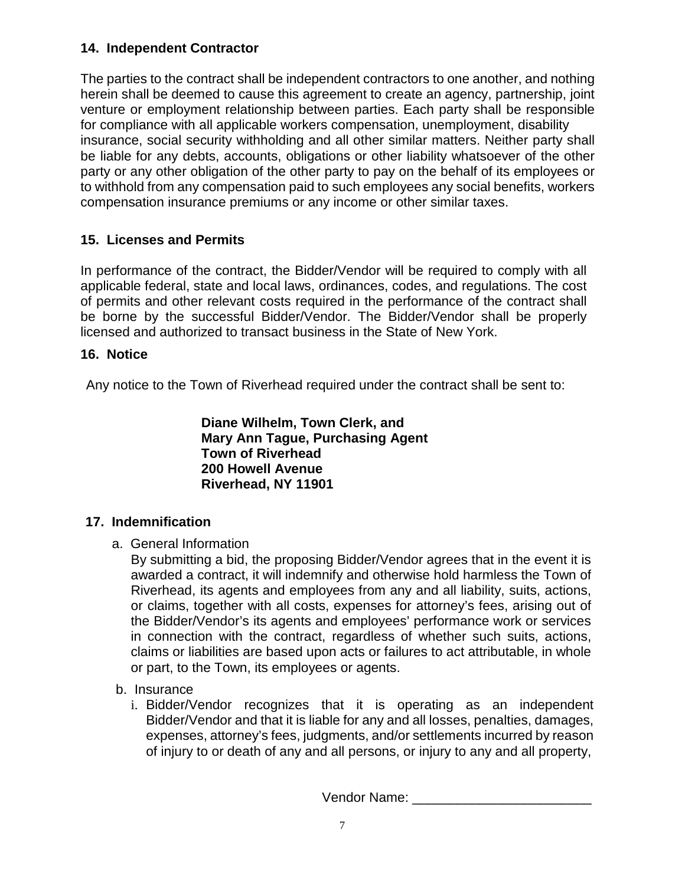### **14. Independent Contractor**

The parties to the contract shall be independent contractors to one another, and nothing herein shall be deemed to cause this agreement to create an agency, partnership, joint venture or employment relationship between parties. Each party shall be responsible for compliance with all applicable workers compensation, unemployment, disability insurance, social security withholding and all other similar matters. Neither party shall be liable for any debts, accounts, obligations or other liability whatsoever of the other party or any other obligation of the other party to pay on the behalf of its employees or to withhold from any compensation paid to such employees any social benefits, workers compensation insurance premiums or any income or other similar taxes.

## **15. Licenses and Permits**

In performance of the contract, the Bidder/Vendor will be required to comply with all applicable federal, state and local laws, ordinances, codes, and regulations. The cost of permits and other relevant costs required in the performance of the contract shall be borne by the successful Bidder/Vendor. The Bidder/Vendor shall be properly licensed and authorized to transact business in the State of New York.

## **16. Notice**

Any notice to the Town of Riverhead required under the contract shall be sent to:

**Diane Wilhelm, Town Clerk, and Mary Ann Tague, Purchasing Agent Town of Riverhead 200 Howell Avenue Riverhead, NY 11901**

## **17. Indemnification**

a. General Information

By submitting a bid, the proposing Bidder/Vendor agrees that in the event it is awarded a contract, it will indemnify and otherwise hold harmless the Town of Riverhead, its agents and employees from any and all liability, suits, actions, or claims, together with all costs, expenses for attorney's fees, arising out of the Bidder/Vendor's its agents and employees' performance work or services in connection with the contract, regardless of whether such suits, actions, claims or liabilities are based upon acts or failures to act attributable, in whole or part, to the Town, its employees or agents.

- b. Insurance
	- i. Bidder/Vendor recognizes that it is operating as an independent Bidder/Vendor and that it is liable for any and all losses, penalties, damages, expenses, attorney's fees, judgments, and/or settlements incurred by reason of injury to or death of any and all persons, or injury to any and all property,

Vendor Name: \_\_\_\_\_\_\_\_\_\_\_\_\_\_\_\_\_\_\_\_\_\_\_\_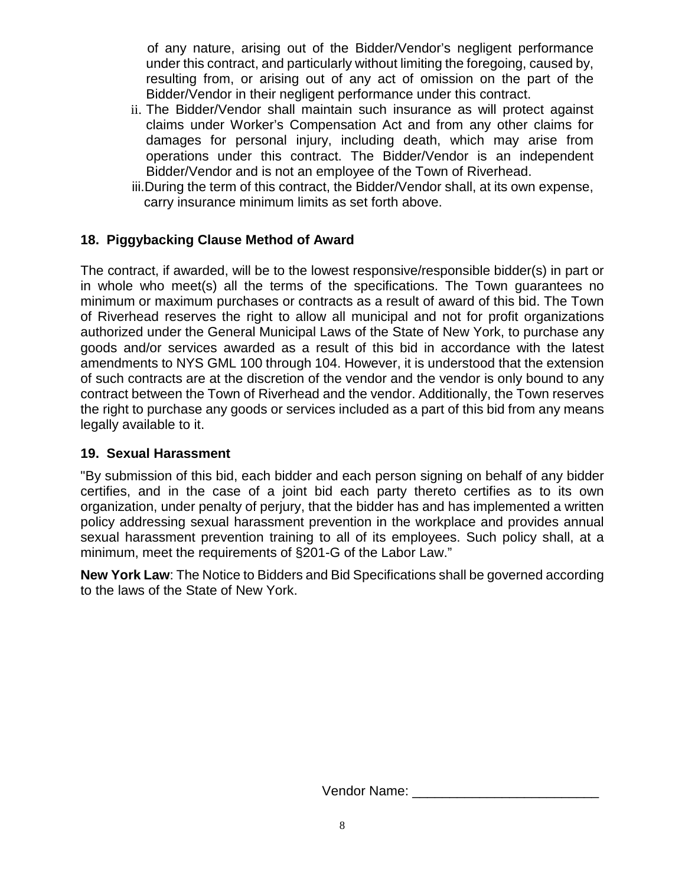of any nature, arising out of the Bidder/Vendor's negligent performance under this contract, and particularly without limiting the foregoing, caused by, resulting from, or arising out of any act of omission on the part of the Bidder/Vendor in their negligent performance under this contract.

- ii. The Bidder/Vendor shall maintain such insurance as will protect against claims under Worker's Compensation Act and from any other claims for damages for personal injury, including death, which may arise from operations under this contract. The Bidder/Vendor is an independent Bidder/Vendor and is not an employee of the Town of Riverhead.
- iii.During the term of this contract, the Bidder/Vendor shall, at its own expense, carry insurance minimum limits as set forth above.

### **18. Piggybacking Clause Method of Award**

The contract, if awarded, will be to the lowest responsive/responsible bidder(s) in part or in whole who meet(s) all the terms of the specifications. The Town guarantees no minimum or maximum purchases or contracts as a result of award of this bid. The Town of Riverhead reserves the right to allow all municipal and not for profit organizations authorized under the General Municipal Laws of the State of New York, to purchase any goods and/or services awarded as a result of this bid in accordance with the latest amendments to NYS GML 100 through 104. However, it is understood that the extension of such contracts are at the discretion of the vendor and the vendor is only bound to any contract between the Town of Riverhead and the vendor. Additionally, the Town reserves the right to purchase any goods or services included as a part of this bid from any means legally available to it.

#### **19. Sexual Harassment**

"By submission of this bid, each bidder and each person signing on behalf of any bidder certifies, and in the case of a joint bid each party thereto certifies as to its own organization, under penalty of perjury, that the bidder has and has implemented a written policy addressing sexual harassment prevention in the workplace and provides annual sexual harassment prevention training to all of its employees. Such policy shall, at a minimum, meet the requirements of §201-G of the Labor Law."

**New York Law**: The Notice to Bidders and Bid Specifications shall be governed according to the laws of the State of New York.

Vendor Name: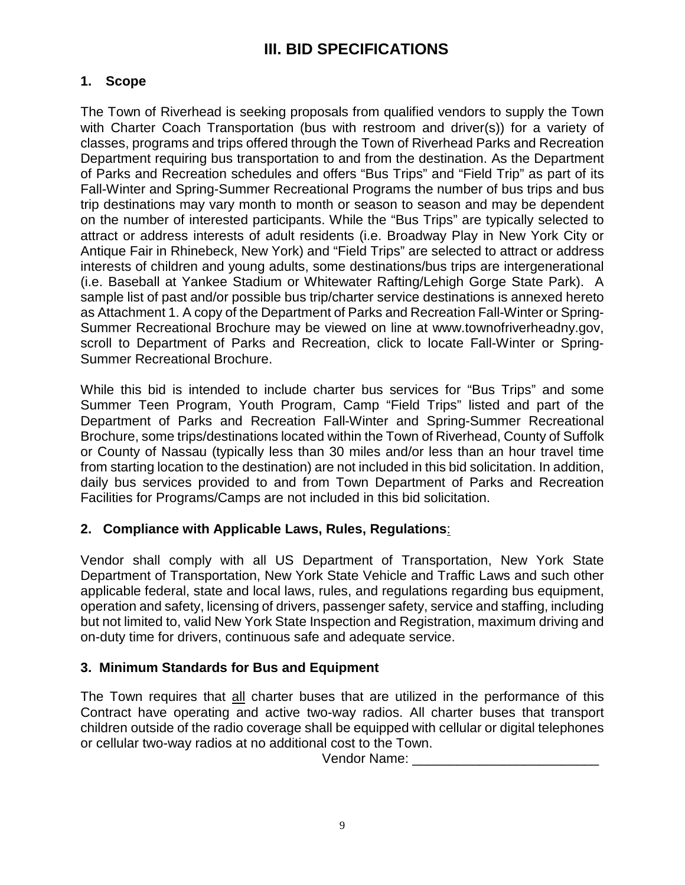## **III. BID SPECIFICATIONS**

### **1. Scope**

The Town of Riverhead is seeking proposals from qualified vendors to supply the Town with Charter Coach Transportation (bus with restroom and driver(s)) for a variety of classes, programs and trips offered through the Town of Riverhead Parks and Recreation Department requiring bus transportation to and from the destination. As the Department of Parks and Recreation schedules and offers "Bus Trips" and "Field Trip" as part of its Fall-Winter and Spring-Summer Recreational Programs the number of bus trips and bus trip destinations may vary month to month or season to season and may be dependent on the number of interested participants. While the "Bus Trips" are typically selected to attract or address interests of adult residents (i.e. Broadway Play in New York City or Antique Fair in Rhinebeck, New York) and "Field Trips" are selected to attract or address interests of children and young adults, some destinations/bus trips are intergenerational (i.e. Baseball at Yankee Stadium or Whitewater Rafting/Lehigh Gorge State Park). A sample list of past and/or possible bus trip/charter service destinations is annexed hereto as Attachment 1. A copy of the Department of Parks and Recreation Fall-Winter or Spring-Summer Recreational Brochure may be viewed on line at www.townofriverheadny.gov, scroll to Department of Parks and Recreation, click to locate Fall-Winter or Spring-Summer Recreational Brochure.

While this bid is intended to include charter bus services for "Bus Trips" and some Summer Teen Program, Youth Program, Camp "Field Trips" listed and part of the Department of Parks and Recreation Fall-Winter and Spring-Summer Recreational Brochure, some trips/destinations located within the Town of Riverhead, County of Suffolk or County of Nassau (typically less than 30 miles and/or less than an hour travel time from starting location to the destination) are not included in this bid solicitation. In addition, daily bus services provided to and from Town Department of Parks and Recreation Facilities for Programs/Camps are not included in this bid solicitation.

### **2. Compliance with Applicable Laws, Rules, Regulations**:

Vendor shall comply with all US Department of Transportation, New York State Department of Transportation, New York State Vehicle and Traffic Laws and such other applicable federal, state and local laws, rules, and regulations regarding bus equipment, operation and safety, licensing of drivers, passenger safety, service and staffing, including but not limited to, valid New York State Inspection and Registration, maximum driving and on-duty time for drivers, continuous safe and adequate service.

### **3. Minimum Standards for Bus and Equipment**

The Town requires that all charter buses that are utilized in the performance of this Contract have operating and active two-way radios. All charter buses that transport children outside of the radio coverage shall be equipped with cellular or digital telephones or cellular two-way radios at no additional cost to the Town.

Vendor Name: **Wendor** Name: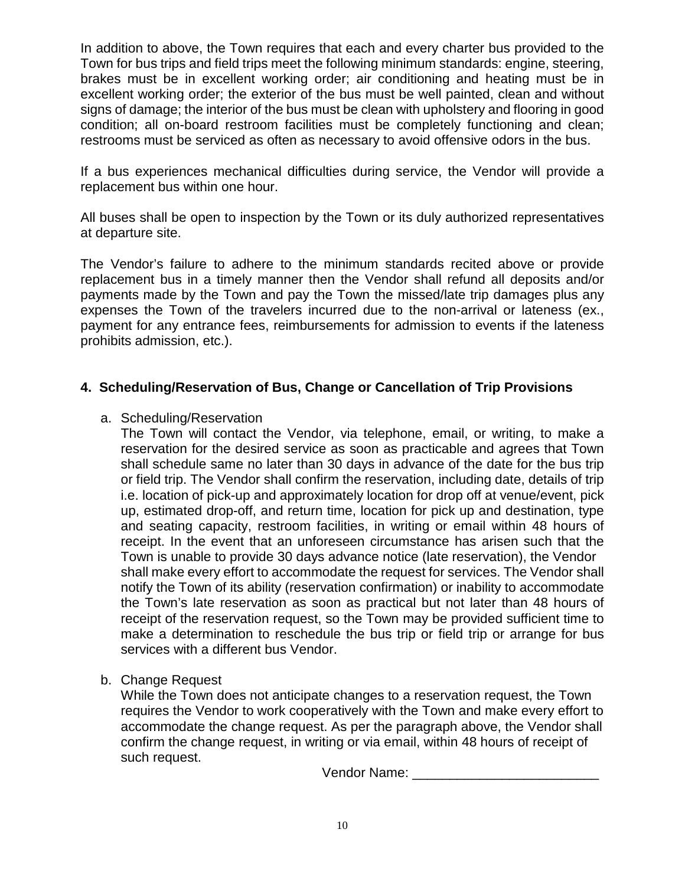In addition to above, the Town requires that each and every charter bus provided to the Town for bus trips and field trips meet the following minimum standards: engine, steering, brakes must be in excellent working order; air conditioning and heating must be in excellent working order; the exterior of the bus must be well painted, clean and without signs of damage; the interior of the bus must be clean with upholstery and flooring in good condition; all on-board restroom facilities must be completely functioning and clean; restrooms must be serviced as often as necessary to avoid offensive odors in the bus.

If a bus experiences mechanical difficulties during service, the Vendor will provide a replacement bus within one hour.

All buses shall be open to inspection by the Town or its duly authorized representatives at departure site.

The Vendor's failure to adhere to the minimum standards recited above or provide replacement bus in a timely manner then the Vendor shall refund all deposits and/or payments made by the Town and pay the Town the missed/late trip damages plus any expenses the Town of the travelers incurred due to the non-arrival or lateness (ex., payment for any entrance fees, reimbursements for admission to events if the lateness prohibits admission, etc.).

### **4. Scheduling/Reservation of Bus, Change or Cancellation of Trip Provisions**

#### a. Scheduling/Reservation

The Town will contact the Vendor, via telephone, email, or writing, to make a reservation for the desired service as soon as practicable and agrees that Town shall schedule same no later than 30 days in advance of the date for the bus trip or field trip. The Vendor shall confirm the reservation, including date, details of trip i.e. location of pick-up and approximately location for drop off at venue/event, pick up, estimated drop-off, and return time, location for pick up and destination, type and seating capacity, restroom facilities, in writing or email within 48 hours of receipt. In the event that an unforeseen circumstance has arisen such that the Town is unable to provide 30 days advance notice (late reservation), the Vendor shall make every effort to accommodate the request for services. The Vendor shall notify the Town of its ability (reservation confirmation) or inability to accommodate the Town's late reservation as soon as practical but not later than 48 hours of receipt of the reservation request, so the Town may be provided sufficient time to make a determination to reschedule the bus trip or field trip or arrange for bus services with a different bus Vendor.

b. Change Request

While the Town does not anticipate changes to a reservation request, the Town requires the Vendor to work cooperatively with the Town and make every effort to accommodate the change request. As per the paragraph above, the Vendor shall confirm the change request, in writing or via email, within 48 hours of receipt of such request.

Vendor Name: \_\_\_\_\_\_\_\_\_\_\_\_\_\_\_\_\_\_\_\_\_\_\_\_\_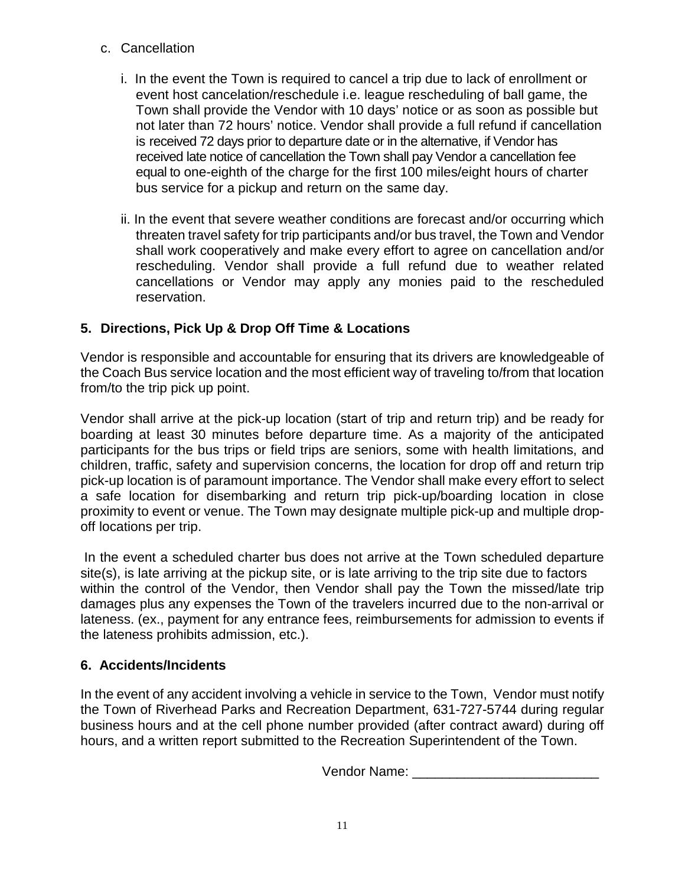- c. Cancellation
	- i. In the event the Town is required to cancel a trip due to lack of enrollment or event host cancelation/reschedule i.e. league rescheduling of ball game, the Town shall provide the Vendor with 10 days' notice or as soon as possible but not later than 72 hours' notice. Vendor shall provide a full refund if cancellation is received 72 days prior to departure date or in the alternative, if Vendor has received late notice of cancellation the Town shall pay Vendor a cancellation fee equal to one-eighth of the charge for the first 100 miles/eight hours of charter bus service for a pickup and return on the same day.
	- ii. In the event that severe weather conditions are forecast and/or occurring which threaten travel safety for trip participants and/or bus travel, the Town and Vendor shall work cooperatively and make every effort to agree on cancellation and/or rescheduling. Vendor shall provide a full refund due to weather related cancellations or Vendor may apply any monies paid to the rescheduled reservation.

## **5. Directions, Pick Up & Drop Off Time & Locations**

Vendor is responsible and accountable for ensuring that its drivers are knowledgeable of the Coach Bus service location and the most efficient way of traveling to/from that location from/to the trip pick up point.

Vendor shall arrive at the pick-up location (start of trip and return trip) and be ready for boarding at least 30 minutes before departure time. As a majority of the anticipated participants for the bus trips or field trips are seniors, some with health limitations, and children, traffic, safety and supervision concerns, the location for drop off and return trip pick-up location is of paramount importance. The Vendor shall make every effort to select a safe location for disembarking and return trip pick-up/boarding location in close proximity to event or venue. The Town may designate multiple pick-up and multiple dropoff locations per trip.

In the event a scheduled charter bus does not arrive at the Town scheduled departure site(s), is late arriving at the pickup site, or is late arriving to the trip site due to factors within the control of the Vendor, then Vendor shall pay the Town the missed/late trip damages plus any expenses the Town of the travelers incurred due to the non-arrival or lateness. (ex., payment for any entrance fees, reimbursements for admission to events if the lateness prohibits admission, etc.).

## **6. Accidents/Incidents**

In the event of any accident involving a vehicle in service to the Town, Vendor must notify the Town of Riverhead Parks and Recreation Department, 631-727-5744 during regular business hours and at the cell phone number provided (after contract award) during off hours, and a written report submitted to the Recreation Superintendent of the Town.

Vendor Name: **Wendor** Name: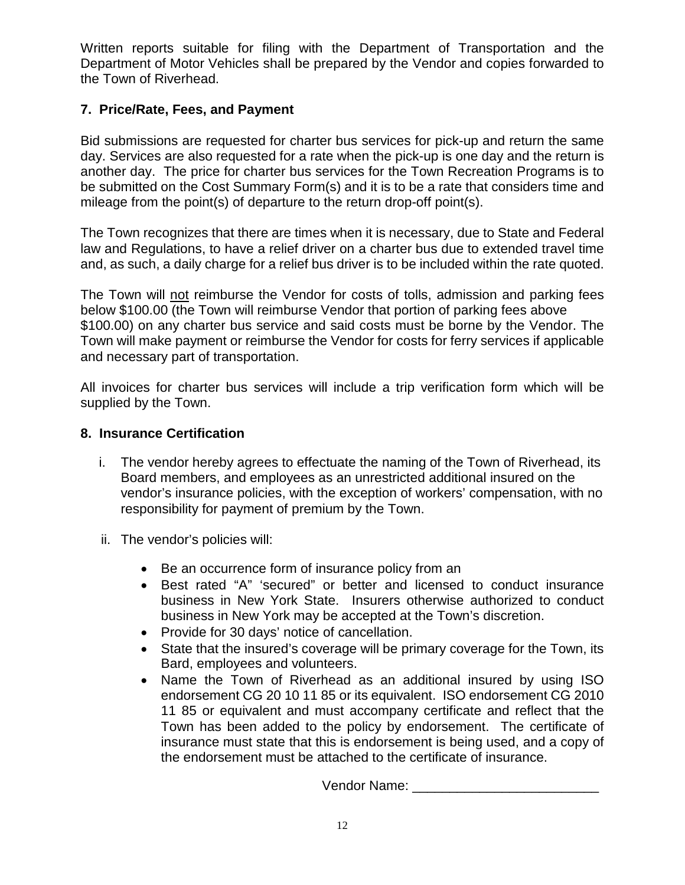Written reports suitable for filing with the Department of Transportation and the Department of Motor Vehicles shall be prepared by the Vendor and copies forwarded to the Town of Riverhead.

### **7. Price/Rate, Fees, and Payment**

Bid submissions are requested for charter bus services for pick-up and return the same day. Services are also requested for a rate when the pick-up is one day and the return is another day. The price for charter bus services for the Town Recreation Programs is to be submitted on the Cost Summary Form(s) and it is to be a rate that considers time and mileage from the point(s) of departure to the return drop-off point(s).

The Town recognizes that there are times when it is necessary, due to State and Federal law and Regulations, to have a relief driver on a charter bus due to extended travel time and, as such, a daily charge for a relief bus driver is to be included within the rate quoted.

The Town will not reimburse the Vendor for costs of tolls, admission and parking fees below \$100.00 (the Town will reimburse Vendor that portion of parking fees above \$100.00) on any charter bus service and said costs must be borne by the Vendor. The Town will make payment or reimburse the Vendor for costs for ferry services if applicable and necessary part of transportation.

All invoices for charter bus services will include a trip verification form which will be supplied by the Town.

### **8. Insurance Certification**

- i. The vendor hereby agrees to effectuate the naming of the Town of Riverhead, its Board members, and employees as an unrestricted additional insured on the vendor's insurance policies, with the exception of workers' compensation, with no responsibility for payment of premium by the Town.
- ii. The vendor's policies will:
	- Be an occurrence form of insurance policy from an
	- Best rated "A" 'secured" or better and licensed to conduct insurance business in New York State. Insurers otherwise authorized to conduct business in New York may be accepted at the Town's discretion.
	- Provide for 30 days' notice of cancellation.
	- State that the insured's coverage will be primary coverage for the Town, its Bard, employees and volunteers.
	- Name the Town of Riverhead as an additional insured by using ISO endorsement CG 20 10 11 85 or its equivalent. ISO endorsement CG 2010 11 85 or equivalent and must accompany certificate and reflect that the Town has been added to the policy by endorsement. The certificate of insurance must state that this is endorsement is being used, and a copy of the endorsement must be attached to the certificate of insurance.

Vendor Name:  $\Box$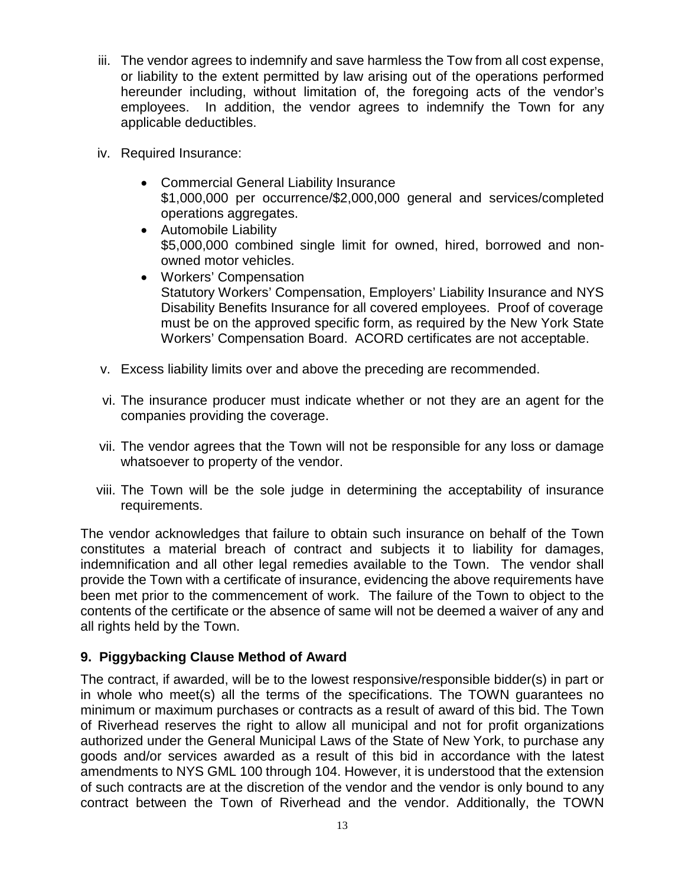- iii. The vendor agrees to indemnify and save harmless the Tow from all cost expense, or liability to the extent permitted by law arising out of the operations performed hereunder including, without limitation of, the foregoing acts of the vendor's employees. In addition, the vendor agrees to indemnify the Town for any applicable deductibles.
- iv. Required Insurance:
	- Commercial General Liability Insurance \$1,000,000 per occurrence/\$2,000,000 general and services/completed operations aggregates.
	- Automobile Liability \$5,000,000 combined single limit for owned, hired, borrowed and nonowned motor vehicles.
	- Workers' Compensation Statutory Workers' Compensation, Employers' Liability Insurance and NYS Disability Benefits Insurance for all covered employees. Proof of coverage must be on the approved specific form, as required by the New York State Workers' Compensation Board. ACORD certificates are not acceptable.
- v. Excess liability limits over and above the preceding are recommended.
- vi. The insurance producer must indicate whether or not they are an agent for the companies providing the coverage.
- vii. The vendor agrees that the Town will not be responsible for any loss or damage whatsoever to property of the vendor.
- viii. The Town will be the sole judge in determining the acceptability of insurance requirements.

The vendor acknowledges that failure to obtain such insurance on behalf of the Town constitutes a material breach of contract and subjects it to liability for damages, indemnification and all other legal remedies available to the Town. The vendor shall provide the Town with a certificate of insurance, evidencing the above requirements have been met prior to the commencement of work. The failure of the Town to object to the contents of the certificate or the absence of same will not be deemed a waiver of any and all rights held by the Town.

### **9. Piggybacking Clause Method of Award**

The contract, if awarded, will be to the lowest responsive/responsible bidder(s) in part or in whole who meet(s) all the terms of the specifications. The TOWN guarantees no minimum or maximum purchases or contracts as a result of award of this bid. The Town of Riverhead reserves the right to allow all municipal and not for profit organizations authorized under the General Municipal Laws of the State of New York, to purchase any goods and/or services awarded as a result of this bid in accordance with the latest amendments to NYS GML 100 through 104. However, it is understood that the extension of such contracts are at the discretion of the vendor and the vendor is only bound to any contract between the Town of Riverhead and the vendor. Additionally, the TOWN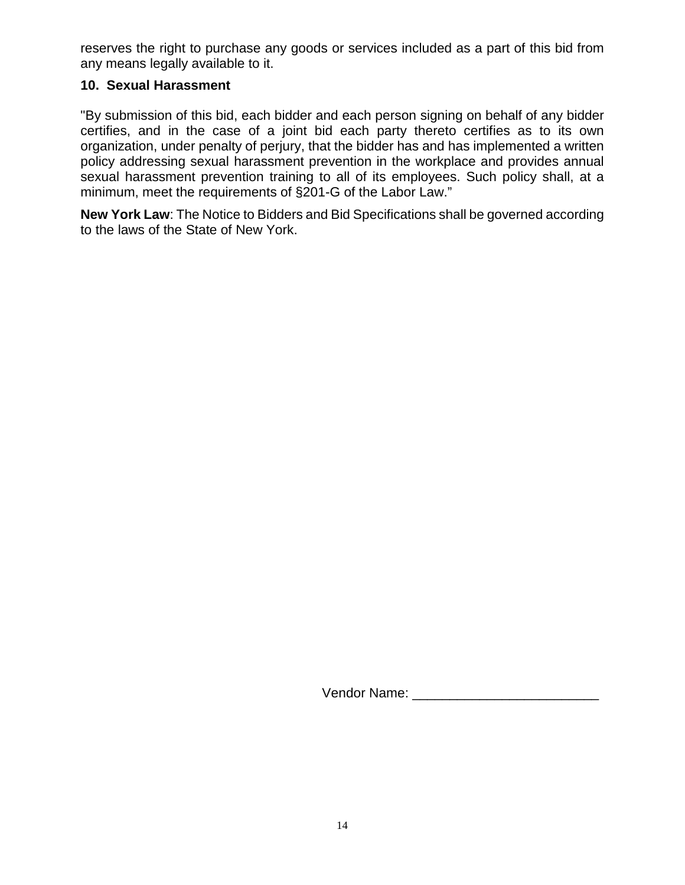reserves the right to purchase any goods or services included as a part of this bid from any means legally available to it.

#### **10. Sexual Harassment**

"By submission of this bid, each bidder and each person signing on behalf of any bidder certifies, and in the case of a joint bid each party thereto certifies as to its own organization, under penalty of perjury, that the bidder has and has implemented a written policy addressing sexual harassment prevention in the workplace and provides annual sexual harassment prevention training to all of its employees. Such policy shall, at a minimum, meet the requirements of §201-G of the Labor Law."

**New York Law**: The Notice to Bidders and Bid Specifications shall be governed according to the laws of the State of New York.

Vendor Name: **With a set of the UK and Structure** of the UK and Structure of the UK and Structure of the UK and Structure of the UK and Structure of the UK and Structure of the UK and Structure of the UK and Structure of t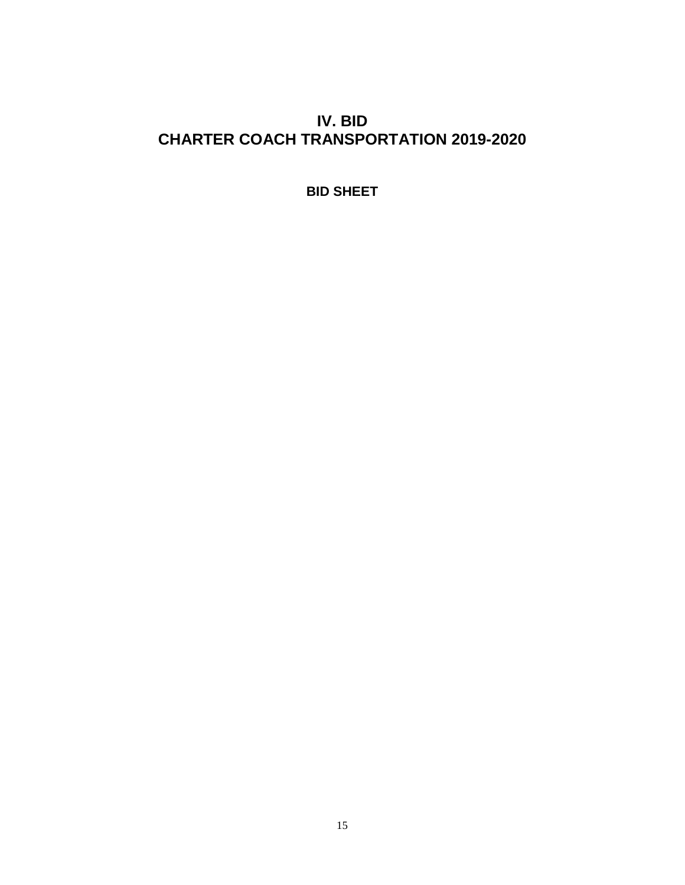## **IV. BID CHARTER COACH TRANSPORTATION 2019-2020**

**BID SHEET**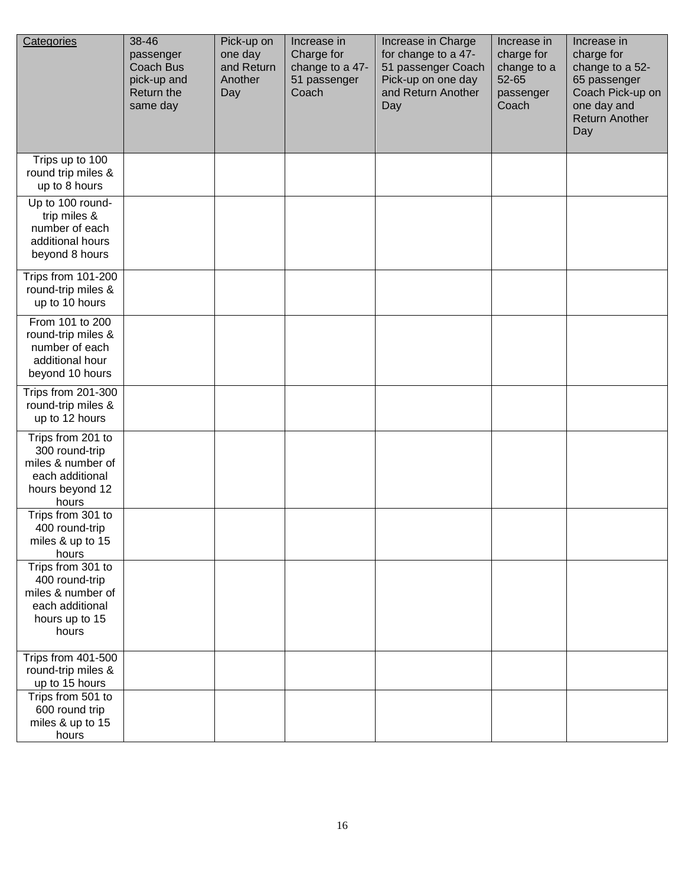| Categories                                                                                              | 38-46<br>passenger<br><b>Coach Bus</b><br>pick-up and<br>Return the<br>same day | Pick-up on<br>one day<br>and Return<br>Another<br>Day | Increase in<br>Charge for<br>change to a 47-<br>51 passenger<br>Coach | Increase in Charge<br>for change to a 47-<br>51 passenger Coach<br>Pick-up on one day<br>and Return Another<br>Day | Increase in<br>charge for<br>change to a<br>52-65<br>passenger<br>Coach | Increase in<br>charge for<br>change to a 52-<br>65 passenger<br>Coach Pick-up on<br>one day and<br><b>Return Another</b><br>Day |
|---------------------------------------------------------------------------------------------------------|---------------------------------------------------------------------------------|-------------------------------------------------------|-----------------------------------------------------------------------|--------------------------------------------------------------------------------------------------------------------|-------------------------------------------------------------------------|---------------------------------------------------------------------------------------------------------------------------------|
| Trips up to 100<br>round trip miles &<br>up to 8 hours                                                  |                                                                                 |                                                       |                                                                       |                                                                                                                    |                                                                         |                                                                                                                                 |
| Up to 100 round-<br>trip miles &<br>number of each<br>additional hours<br>beyond 8 hours                |                                                                                 |                                                       |                                                                       |                                                                                                                    |                                                                         |                                                                                                                                 |
| Trips from 101-200<br>round-trip miles &<br>up to 10 hours                                              |                                                                                 |                                                       |                                                                       |                                                                                                                    |                                                                         |                                                                                                                                 |
| From 101 to 200<br>round-trip miles &<br>number of each<br>additional hour<br>beyond 10 hours           |                                                                                 |                                                       |                                                                       |                                                                                                                    |                                                                         |                                                                                                                                 |
| Trips from 201-300<br>round-trip miles &<br>up to 12 hours                                              |                                                                                 |                                                       |                                                                       |                                                                                                                    |                                                                         |                                                                                                                                 |
| Trips from 201 to<br>300 round-trip<br>miles & number of<br>each additional<br>hours beyond 12<br>hours |                                                                                 |                                                       |                                                                       |                                                                                                                    |                                                                         |                                                                                                                                 |
| Trips from 301 to<br>400 round-trip<br>miles & up to 15<br>hours                                        |                                                                                 |                                                       |                                                                       |                                                                                                                    |                                                                         |                                                                                                                                 |
| Trips from 301 to<br>400 round-trip<br>miles & number of<br>each additional<br>hours up to 15<br>hours  |                                                                                 |                                                       |                                                                       |                                                                                                                    |                                                                         |                                                                                                                                 |
| Trips from 401-500<br>round-trip miles &<br>up to 15 hours                                              |                                                                                 |                                                       |                                                                       |                                                                                                                    |                                                                         |                                                                                                                                 |
| Trips from 501 to<br>600 round trip<br>miles & up to 15<br>hours                                        |                                                                                 |                                                       |                                                                       |                                                                                                                    |                                                                         |                                                                                                                                 |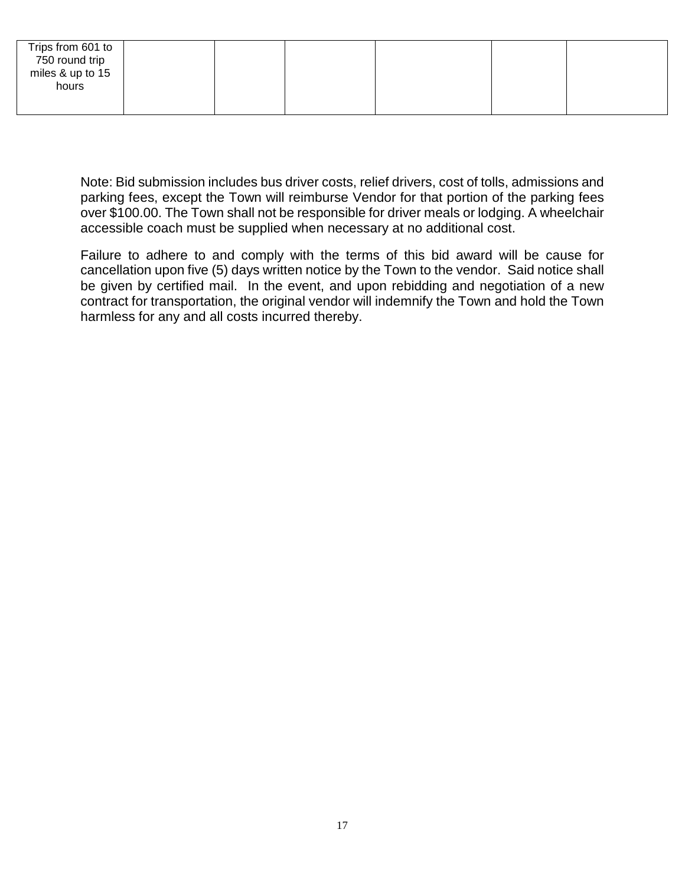| Trips from 601 to |  |  |  |
|-------------------|--|--|--|
| 750 round trip    |  |  |  |
| miles & up to 15  |  |  |  |
| hours             |  |  |  |
|                   |  |  |  |
|                   |  |  |  |

Note: Bid submission includes bus driver costs, relief drivers, cost of tolls, admissions and parking fees, except the Town will reimburse Vendor for that portion of the parking fees over \$100.00. The Town shall not be responsible for driver meals or lodging. A wheelchair accessible coach must be supplied when necessary at no additional cost.

Failure to adhere to and comply with the terms of this bid award will be cause for cancellation upon five (5) days written notice by the Town to the vendor. Said notice shall be given by certified mail. In the event, and upon rebidding and negotiation of a new contract for transportation, the original vendor will indemnify the Town and hold the Town harmless for any and all costs incurred thereby.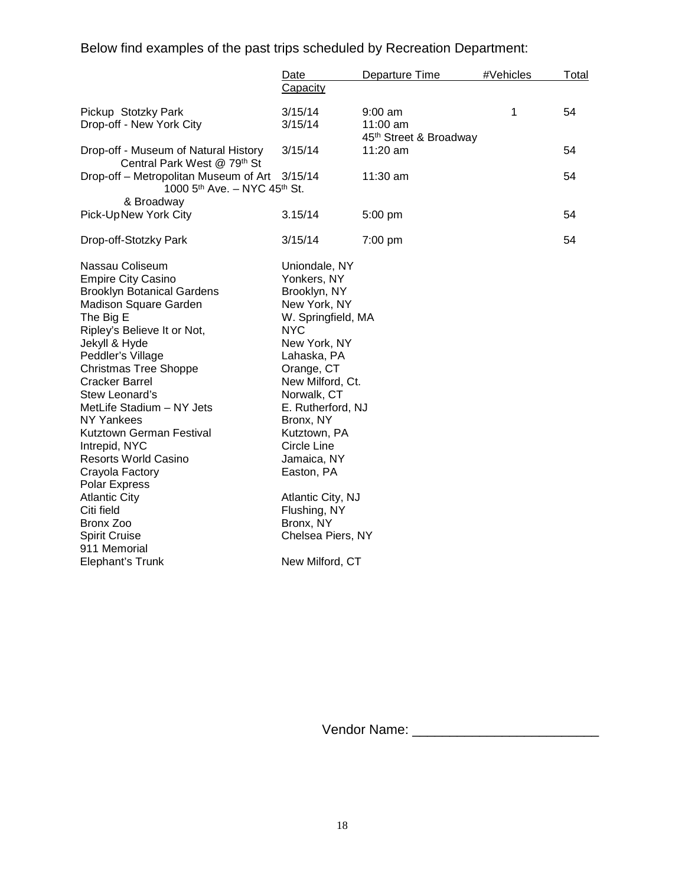Below find examples of the past trips scheduled by Recreation Department:

|                                                                                                                                                                                                                                                                                                                                                                                                                                                                                                                                                   | Date                                                                                                                                                                                                                                                                                                                                                                            | Departure Time                                  | #Vehicles | Total |
|---------------------------------------------------------------------------------------------------------------------------------------------------------------------------------------------------------------------------------------------------------------------------------------------------------------------------------------------------------------------------------------------------------------------------------------------------------------------------------------------------------------------------------------------------|---------------------------------------------------------------------------------------------------------------------------------------------------------------------------------------------------------------------------------------------------------------------------------------------------------------------------------------------------------------------------------|-------------------------------------------------|-----------|-------|
|                                                                                                                                                                                                                                                                                                                                                                                                                                                                                                                                                   | Capacity                                                                                                                                                                                                                                                                                                                                                                        |                                                 |           |       |
| Pickup Stotzky Park<br>Drop-off - New York City                                                                                                                                                                                                                                                                                                                                                                                                                                                                                                   | 3/15/14<br>3/15/14                                                                                                                                                                                                                                                                                                                                                              | $9:00$ am<br>11:00 am<br>45th Street & Broadway | 1         | 54    |
| Drop-off - Museum of Natural History<br>Central Park West @ 79th St                                                                                                                                                                                                                                                                                                                                                                                                                                                                               | 3/15/14                                                                                                                                                                                                                                                                                                                                                                         | $11:20$ am                                      |           | 54    |
| Drop-off – Metropolitan Museum of Art<br>1000 5th Ave. - NYC 45th St.                                                                                                                                                                                                                                                                                                                                                                                                                                                                             | 3/15/14                                                                                                                                                                                                                                                                                                                                                                         | 11:30 am                                        |           | 54    |
| & Broadway                                                                                                                                                                                                                                                                                                                                                                                                                                                                                                                                        |                                                                                                                                                                                                                                                                                                                                                                                 |                                                 |           |       |
| Pick-UpNew York City                                                                                                                                                                                                                                                                                                                                                                                                                                                                                                                              | 3.15/14                                                                                                                                                                                                                                                                                                                                                                         | 5:00 pm                                         |           | 54    |
| Drop-off-Stotzky Park                                                                                                                                                                                                                                                                                                                                                                                                                                                                                                                             | 3/15/14                                                                                                                                                                                                                                                                                                                                                                         | 7:00 pm                                         |           | 54    |
| Nassau Coliseum<br><b>Empire City Casino</b><br><b>Brooklyn Botanical Gardens</b><br>Madison Square Garden<br>The Big E<br>Ripley's Believe It or Not,<br>Jekyll & Hyde<br>Peddler's Village<br><b>Christmas Tree Shoppe</b><br><b>Cracker Barrel</b><br>Stew Leonard's<br>MetLife Stadium - NY Jets<br>NY Yankees<br>Kutztown German Festival<br>Intrepid, NYC<br><b>Resorts World Casino</b><br>Crayola Factory<br>Polar Express<br><b>Atlantic City</b><br>Citi field<br>Bronx Zoo<br><b>Spirit Cruise</b><br>911 Memorial<br>Elephant's Trunk | Uniondale, NY<br>Yonkers, NY<br>Brooklyn, NY<br>New York, NY<br>W. Springfield, MA<br><b>NYC</b><br>New York, NY<br>Lahaska, PA<br>Orange, CT<br>New Milford, Ct.<br>Norwalk, CT<br>E. Rutherford, NJ<br>Bronx, NY<br>Kutztown, PA<br><b>Circle Line</b><br>Jamaica, NY<br>Easton, PA<br>Atlantic City, NJ<br>Flushing, NY<br>Bronx, NY<br>Chelsea Piers, NY<br>New Milford, CT |                                                 |           |       |

Vendor Name: \_\_\_\_\_\_\_\_\_\_\_\_\_\_\_\_\_\_\_\_\_\_\_\_\_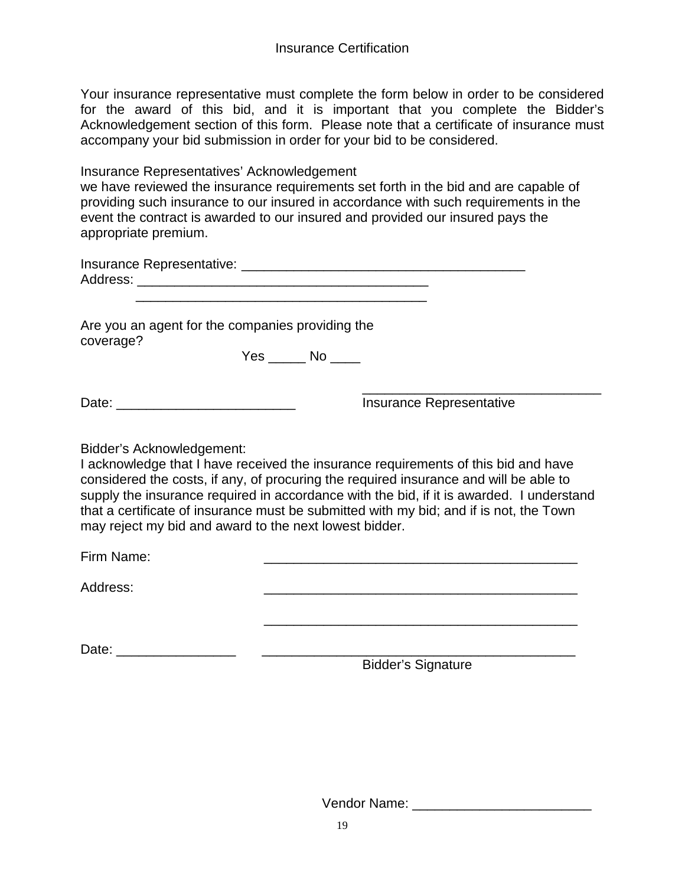Your insurance representative must complete the form below in order to be considered for the award of this bid, and it is important that you complete the Bidder's Acknowledgement section of this form. Please note that a certificate of insurance must accompany your bid submission in order for your bid to be considered.

Insurance Representatives' Acknowledgement

we have reviewed the insurance requirements set forth in the bid and are capable of providing such insurance to our insured in accordance with such requirements in the event the contract is awarded to our insured and provided our insured pays the appropriate premium.

| Insurance Representative: |  |
|---------------------------|--|
| Address:                  |  |

 $\overline{\phantom{a}}$  , and the contract of the contract of the contract of the contract of the contract of the contract of the contract of the contract of the contract of the contract of the contract of the contract of the contrac

Are you an agent for the companies providing the coverage?

Yes \_\_\_\_\_\_ No \_\_\_\_\_

Date: \_\_\_\_\_\_\_\_\_\_\_\_\_\_\_\_\_\_\_\_\_\_\_\_ Insurance Representative

Insurance Representative

Bidder's Acknowledgement:

I acknowledge that I have received the insurance requirements of this bid and have considered the costs, if any, of procuring the required insurance and will be able to supply the insurance required in accordance with the bid, if it is awarded. I understand that a certificate of insurance must be submitted with my bid; and if is not, the Town may reject my bid and award to the next lowest bidder.

 $\frac{1}{\sqrt{2}}$  ,  $\frac{1}{\sqrt{2}}$  ,  $\frac{1}{\sqrt{2}}$  ,  $\frac{1}{\sqrt{2}}$  ,  $\frac{1}{\sqrt{2}}$  ,  $\frac{1}{\sqrt{2}}$  ,  $\frac{1}{\sqrt{2}}$  ,  $\frac{1}{\sqrt{2}}$  ,  $\frac{1}{\sqrt{2}}$  ,  $\frac{1}{\sqrt{2}}$  ,  $\frac{1}{\sqrt{2}}$  ,  $\frac{1}{\sqrt{2}}$  ,  $\frac{1}{\sqrt{2}}$  ,  $\frac{1}{\sqrt{2}}$  ,  $\frac{1}{\sqrt{2}}$ 

Firm Name: \_\_\_\_\_\_\_\_\_\_\_\_\_\_\_\_\_\_\_\_\_\_\_\_\_\_\_\_\_\_\_\_\_\_\_\_\_\_\_\_\_\_

Address: \_\_\_\_\_\_\_\_\_\_\_\_\_\_\_\_\_\_\_\_\_\_\_\_\_\_\_\_\_\_\_\_\_\_\_\_\_\_\_\_\_\_

Date: \_\_\_\_\_\_\_\_\_\_\_\_\_\_\_\_ \_\_\_\_\_\_\_\_\_\_\_\_\_\_\_\_\_\_\_\_\_\_\_\_\_\_\_\_\_\_\_\_\_\_\_\_\_\_\_\_\_\_

Bidder's Signature

Vendor Name: \_\_\_\_\_\_\_\_\_\_\_\_\_\_\_\_\_\_\_\_\_\_\_\_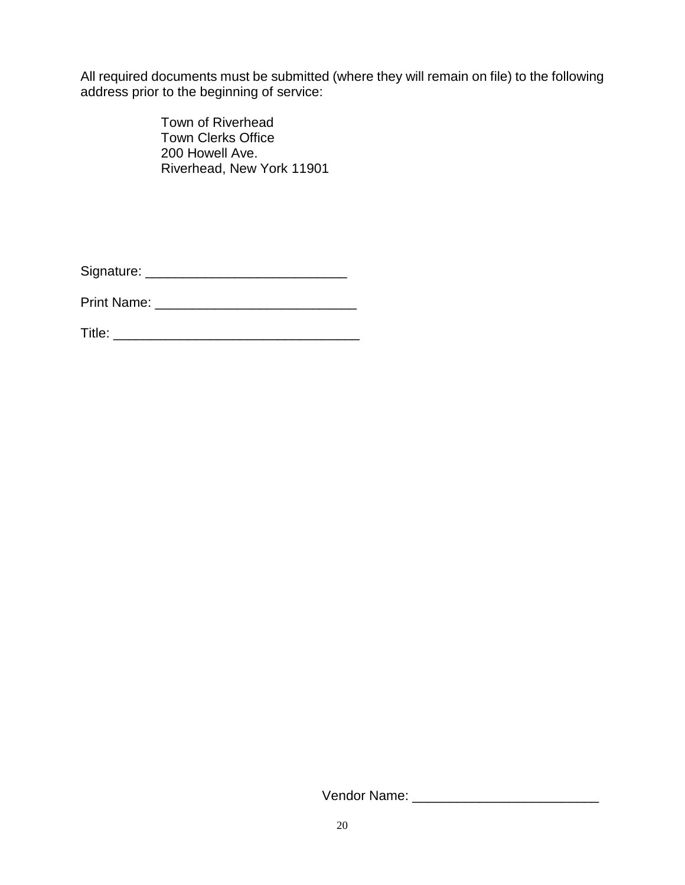All required documents must be submitted (where they will remain on file) to the following address prior to the beginning of service:

> Town of Riverhead Town Clerks Office 200 Howell Ave. Riverhead, New York 11901

Signature: \_\_\_\_\_\_\_\_\_\_\_\_\_\_\_\_\_\_\_\_\_\_\_\_\_\_\_

Print Name: \_\_\_\_\_\_\_\_\_\_\_\_\_\_\_\_\_\_\_\_\_\_\_\_\_\_\_

Title: \_\_\_\_\_\_\_\_\_\_\_\_\_\_\_\_\_\_\_\_\_\_\_\_\_\_\_\_\_\_\_\_\_

Vendor Name: \_\_\_\_\_\_\_\_\_\_\_\_\_\_\_\_\_\_\_\_\_\_\_\_\_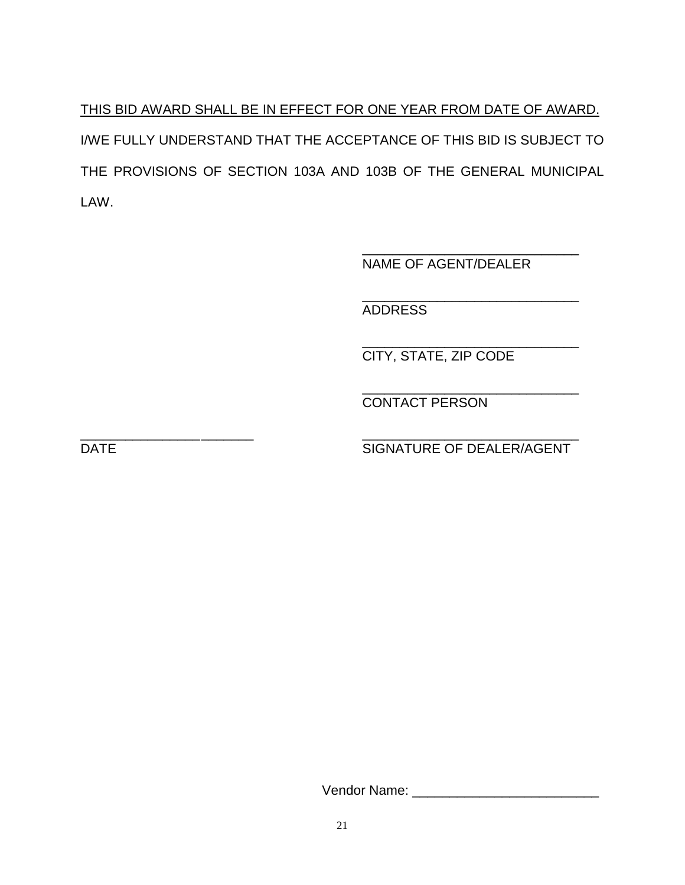THIS BID AWARD SHALL BE IN EFFECT FOR ONE YEAR FROM DATE OF AWARD. I/WE FULLY UNDERSTAND THAT THE ACCEPTANCE OF THIS BID IS SUBJECT TO THE PROVISIONS OF SECTION 103A AND 103B OF THE GENERAL MUNICIPAL LAW.

> \_\_\_\_\_\_\_\_\_\_\_\_\_\_\_\_\_\_\_\_\_\_\_\_\_\_\_\_\_ NAME OF AGENT/DEALER

> \_\_\_\_\_\_\_\_\_\_\_\_\_\_\_\_\_\_\_\_\_\_\_\_\_\_\_\_\_ ADDRESS

> \_\_\_\_\_\_\_\_\_\_\_\_\_\_\_\_\_\_\_\_\_\_\_\_\_\_\_\_\_ CITY, STATE, ZIP CODE

> \_\_\_\_\_\_\_\_\_\_\_\_\_\_\_\_\_\_\_\_\_\_\_\_\_\_\_\_\_ CONTACT PERSON

\_\_\_\_\_\_\_\_\_\_\_\_\_\_\_\_\_\_\_\_\_\_\_ \_\_\_\_\_\_\_\_\_\_\_\_\_\_\_\_\_\_\_\_\_\_\_\_\_\_\_\_\_ DATE DATE SIGNATURE OF DEALER/AGENT

Vendor Name: \_\_\_\_\_\_\_\_\_\_\_\_\_\_\_\_\_\_\_\_\_\_\_\_\_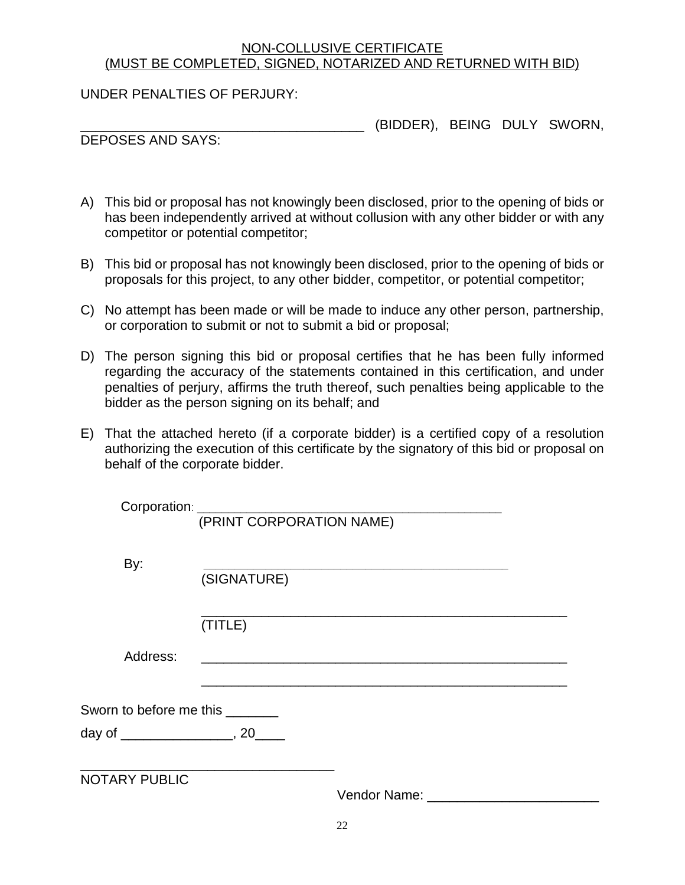#### NON-COLLUSIVE CERTIFICATE (MUST BE COMPLETED, SIGNED, NOTARIZED AND RETURNED WITH BID)

UNDER PENALTIES OF PERJURY:

\_\_\_\_\_\_\_\_\_\_\_\_\_\_\_\_\_\_\_\_\_\_\_\_\_\_\_\_\_\_\_\_\_\_\_\_\_\_ (BIDDER), BEING DULY SWORN,

DEPOSES AND SAYS:

- A) This bid or proposal has not knowingly been disclosed, prior to the opening of bids or has been independently arrived at without collusion with any other bidder or with any competitor or potential competitor;
- B) This bid or proposal has not knowingly been disclosed, prior to the opening of bids or proposals for this project, to any other bidder, competitor, or potential competitor;
- C) No attempt has been made or will be made to induce any other person, partnership, or corporation to submit or not to submit a bid or proposal;
- D) The person signing this bid or proposal certifies that he has been fully informed regarding the accuracy of the statements contained in this certification, and under penalties of perjury, affirms the truth thereof, such penalties being applicable to the bidder as the person signing on its behalf; and
- E) That the attached hereto (if a corporate bidder) is a certified copy of a resolution authorizing the execution of this certificate by the signatory of this bid or proposal on behalf of the corporate bidder.

| Corporation: _______    | (PRINT CORPORATION NAME) |              |  |
|-------------------------|--------------------------|--------------|--|
| By:                     | (SIGNATURE)              |              |  |
|                         | (TITLE)                  |              |  |
| Address:                |                          |              |  |
| Sworn to before me this |                          |              |  |
|                         |                          |              |  |
| <b>NOTARY PUBLIC</b>    |                          | Vendor Name: |  |